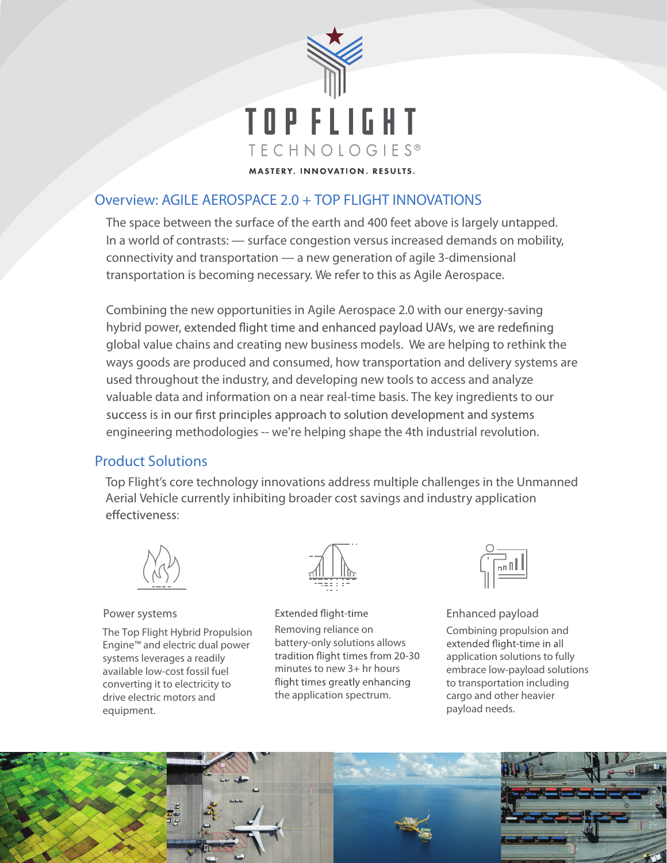

# Overview: AGILE AEROSPACE 2.0 + TOP FLIGHT INNOVATIONS

The space between the surface of the earth and 400 feet above is largely untapped. In a world of contrasts: — surface congestion versus increased demands on mobility, connectivity and transportation — a new generation of agile 3-dimensional transportation is becoming necessary. We refer to this as Agile Aerospace.

Combining the new opportunities in Agile Aerospace 2.0 with our energy-saving hybrid power, extended flight time and enhanced payload UAVs, we are redefining global value chains and creating new business models. We are helping to rethink the ways goods are produced and consumed, how transportation and delivery systems are used throughout the industry, and developing new tools to access and analyze valuable data and information on a near real-time basis. The key ingredients to our success is in our first principles approach to solution development and systems engineering methodologies -- we're helping shape the 4th industrial revolution.

#### Product Solutions

Top Flight's core technology innovations address multiple challenges in the Unmanned Aerial Vehicle currently inhibiting broader cost savings and industry application effectiveness:



#### Power systems

The Top Flight Hybrid Propulsion Engine™ and electric dual power systems leverages a readily available low-cost fossil fuel converting it to electricity to drive electric motors and equipment.



Extended flight-time Removing reliance on battery-only solutions allows tradition flight times from 20-30 minutes to new 3+ hr hours flight times greatly enhancing the application spectrum.



Enhanced payload

Combining propulsion and extended flight-time in all application solutions to fully embrace low-payload solutions to transportation including cargo and other heavier payload needs.